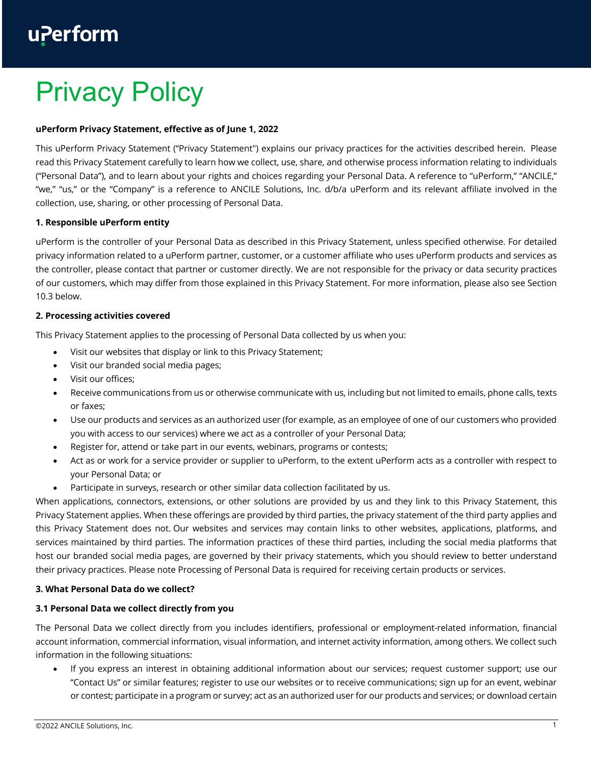# uPerform

# Privacy Policy

# **uPerform Privacy Statement, effective as of June 1, 2022**

This uPerform Privacy Statement ("Privacy Statement") explains our privacy practices for the activities described herein. Please read this Privacy Statement carefully to learn how we collect, use, share, and otherwise process information relating to individuals ("Personal Data"), and to learn about your rights and choices regarding your Personal Data. A reference to "uPerform," "ANCILE," "we," "us," or the "Company" is a reference to ANCILE Solutions, Inc. d/b/a uPerform and its relevant affiliate involved in the collection, use, sharing, or other processing of Personal Data.

# **1. Responsible uPerform entity**

uPerform is the controller of your Personal Data as described in this Privacy Statement, unless specified otherwise. For detailed privacy information related to a uPerform partner, customer, or a customer affiliate who uses uPerform products and services as the controller, please contact that partner or customer directly. We are not responsible for the privacy or data security practices of our customers, which may differ from those explained in this Privacy Statement. For more information, please also see Section 10.3 below.

# **2. Processing activities covered**

This Privacy Statement applies to the processing of Personal Data collected by us when you:

- Visit our websites that display or link to this Privacy Statement;
- Visit our branded social media pages;
- Visit our offices;
- Receive communications from us or otherwise communicate with us, including but not limited to emails, phone calls, texts or faxes;
- Use our products and services as an authorized user (for example, as an employee of one of our customers who provided you with access to our services) where we act as a controller of your Personal Data;
- Register for, attend or take part in our events, webinars, programs or contests;
- Act as or work for a service provider or supplier to uPerform, to the extent uPerform acts as a controller with respect to your Personal Data; or
- Participate in surveys, research or other similar data collection facilitated by us.

When applications, connectors, extensions, or other solutions are provided by us and they link to this Privacy Statement, this Privacy Statement applies. When these offerings are provided by third parties, the privacy statement of the third party applies and this Privacy Statement does not. Our websites and services may contain links to other websites, applications, platforms, and services maintained by third parties. The information practices of these third parties, including the social media platforms that host our branded social media pages, are governed by their privacy statements, which you should review to better understand their privacy practices. Please note Processing of Personal Data is required for receiving certain products or services.

# **3. What Personal Data do we collect?**

# **3.1 Personal Data we collect directly from you**

The Personal Data we collect directly from you includes identifiers, professional or employment-related information, financial account information, commercial information, visual information, and internet activity information, among others. We collect such information in the following situations:

• If you express an interest in obtaining additional information about our services; request customer support; use our "Contact Us" or similar features; register to use our websites or to receive communications; sign up for an event, webinar or contest; participate in a program or survey; act as an authorized user for our products and services; or download certain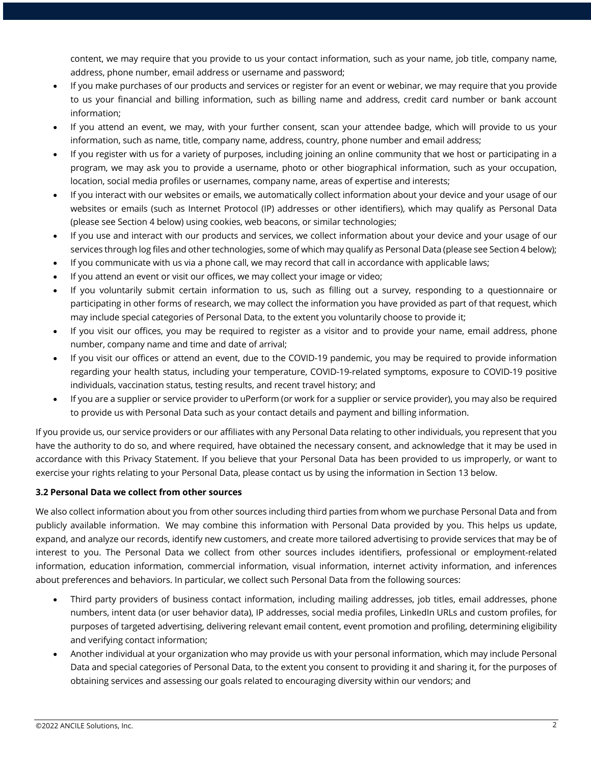content, we may require that you provide to us your contact information, such as your name, job title, company name, address, phone number, email address or username and password;

- If you make purchases of our products and services or register for an event or webinar, we may require that you provide to us your financial and billing information, such as billing name and address, credit card number or bank account information;
- If you attend an event, we may, with your further consent, scan your attendee badge, which will provide to us your information, such as name, title, company name, address, country, phone number and email address;
- If you register with us for a variety of purposes, including joining an online community that we host or participating in a program, we may ask you to provide a username, photo or other biographical information, such as your occupation, location, social media profiles or usernames, company name, areas of expertise and interests;
- If you interact with our websites or emails, we automatically collect information about your device and your usage of our websites or emails (such as Internet Protocol (IP) addresses or other identifiers), which may qualify as Personal Data (please see Section 4 below) using cookies, web beacons, or similar technologies;
- If you use and interact with our products and services, we collect information about your device and your usage of our services through log files and other technologies, some of which may qualify as Personal Data (please see Section 4 below);
- If you communicate with us via a phone call, we may record that call in accordance with applicable laws;
- If you attend an event or visit our offices, we may collect your image or video;
- If you voluntarily submit certain information to us, such as filling out a survey, responding to a questionnaire or participating in other forms of research, we may collect the information you have provided as part of that request, which may include special categories of Personal Data, to the extent you voluntarily choose to provide it;
- If you visit our offices, you may be required to register as a visitor and to provide your name, email address, phone number, company name and time and date of arrival;
- If you visit our offices or attend an event, due to the COVID-19 pandemic, you may be required to provide information regarding your health status, including your temperature, COVID-19-related symptoms, exposure to COVID-19 positive individuals, vaccination status, testing results, and recent travel history; and
- If you are a supplier or service provider to uPerform (or work for a supplier or service provider), you may also be required to provide us with Personal Data such as your contact details and payment and billing information.

If you provide us, our service providers or our affiliates with any Personal Data relating to other individuals, you represent that you have the authority to do so, and where required, have obtained the necessary consent, and acknowledge that it may be used in accordance with this Privacy Statement. If you believe that your Personal Data has been provided to us improperly, or want to exercise your rights relating to your Personal Data, please contact us by using the information in Section 13 below.

# **3.2 Personal Data we collect from other sources**

We also collect information about you from other sources including third parties from whom we purchase Personal Data and from publicly available information. We may combine this information with Personal Data provided by you. This helps us update, expand, and analyze our records, identify new customers, and create more tailored advertising to provide services that may be of interest to you. The Personal Data we collect from other sources includes identifiers, professional or employment-related information, education information, commercial information, visual information, internet activity information, and inferences about preferences and behaviors. In particular, we collect such Personal Data from the following sources:

- Third party providers of business contact information, including mailing addresses, job titles, email addresses, phone numbers, intent data (or user behavior data), IP addresses, social media profiles, LinkedIn URLs and custom profiles, for purposes of targeted advertising, delivering relevant email content, event promotion and profiling, determining eligibility and verifying contact information;
- Another individual at your organization who may provide us with your personal information, which may include Personal Data and special categories of Personal Data, to the extent you consent to providing it and sharing it, for the purposes of obtaining services and assessing our goals related to encouraging diversity within our vendors; and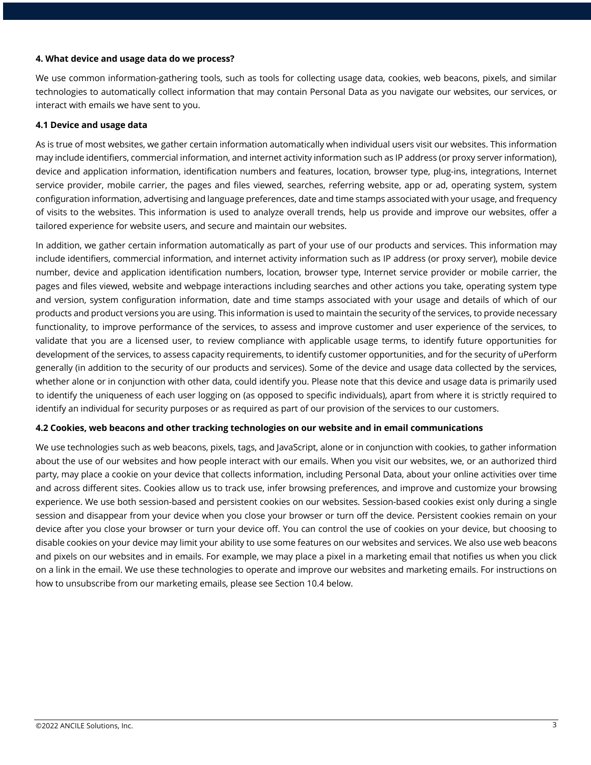#### **4. What device and usage data do we process?**

We use common information-gathering tools, such as tools for collecting usage data, cookies, web beacons, pixels, and similar technologies to automatically collect information that may contain Personal Data as you navigate our websites, our services, or interact with emails we have sent to you.

#### **4.1 Device and usage data**

As is true of most websites, we gather certain information automatically when individual users visit our websites. This information may include identifiers, commercial information, and internet activity information such as IP address (or proxy server information), device and application information, identification numbers and features, location, browser type, plug-ins, integrations, Internet service provider, mobile carrier, the pages and files viewed, searches, referring website, app or ad, operating system, system configuration information, advertising and language preferences, date and time stamps associated with your usage, and frequency of visits to the websites. This information is used to analyze overall trends, help us provide and improve our websites, offer a tailored experience for website users, and secure and maintain our websites.

In addition, we gather certain information automatically as part of your use of our products and services. This information may include identifiers, commercial information, and internet activity information such as IP address (or proxy server), mobile device number, device and application identification numbers, location, browser type, Internet service provider or mobile carrier, the pages and files viewed, website and webpage interactions including searches and other actions you take, operating system type and version, system configuration information, date and time stamps associated with your usage and details of which of our products and product versions you are using. This information is used to maintain the security of the services, to provide necessary functionality, to improve performance of the services, to assess and improve customer and user experience of the services, to validate that you are a licensed user, to review compliance with applicable usage terms, to identify future opportunities for development of the services, to assess capacity requirements, to identify customer opportunities, and for the security of uPerform generally (in addition to the security of our products and services). Some of the device and usage data collected by the services, whether alone or in conjunction with other data, could identify you. Please note that this device and usage data is primarily used to identify the uniqueness of each user logging on (as opposed to specific individuals), apart from where it is strictly required to identify an individual for security purposes or as required as part of our provision of the services to our customers.

# **4.2 Cookies, web beacons and other tracking technologies on our website and in email communications**

We use technologies such as web beacons, pixels, tags, and JavaScript, alone or in conjunction with cookies, to gather information about the use of our websites and how people interact with our emails. When you visit our websites, we, or an authorized third party, may place a cookie on your device that collects information, including Personal Data, about your online activities over time and across different sites. Cookies allow us to track use, infer browsing preferences, and improve and customize your browsing experience. We use both session-based and persistent cookies on our websites. Session-based cookies exist only during a single session and disappear from your device when you close your browser or turn off the device. Persistent cookies remain on your device after you close your browser or turn your device off. You can control the use of cookies on your device, but choosing to disable cookies on your device may limit your ability to use some features on our websites and services. We also use web beacons and pixels on our websites and in emails. For example, we may place a pixel in a marketing email that notifies us when you click on a link in the email. We use these technologies to operate and improve our websites and marketing emails. For instructions on how to unsubscribe from our marketing emails, please see Section 10.4 below.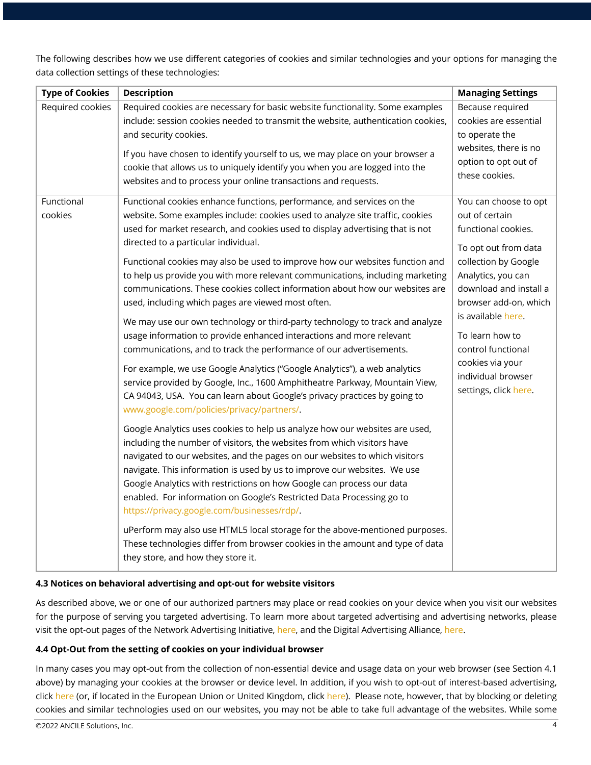The following describes how we use different categories of cookies and similar technologies and your options for managing the data collection settings of these technologies:

| <b>Type of Cookies</b> | <b>Description</b>                                                                                                                                                                                                                                                                                                                                                                                                                                                                                                | <b>Managing Settings</b>                                                             |
|------------------------|-------------------------------------------------------------------------------------------------------------------------------------------------------------------------------------------------------------------------------------------------------------------------------------------------------------------------------------------------------------------------------------------------------------------------------------------------------------------------------------------------------------------|--------------------------------------------------------------------------------------|
| Required cookies       | Required cookies are necessary for basic website functionality. Some examples<br>include: session cookies needed to transmit the website, authentication cookies,<br>and security cookies.<br>If you have chosen to identify yourself to us, we may place on your browser a                                                                                                                                                                                                                                       | Because required<br>cookies are essential<br>to operate the<br>websites, there is no |
|                        | cookie that allows us to uniquely identify you when you are logged into the<br>websites and to process your online transactions and requests.                                                                                                                                                                                                                                                                                                                                                                     | option to opt out of<br>these cookies.                                               |
| Functional             | Functional cookies enhance functions, performance, and services on the                                                                                                                                                                                                                                                                                                                                                                                                                                            | You can choose to opt                                                                |
| cookies                | website. Some examples include: cookies used to analyze site traffic, cookies                                                                                                                                                                                                                                                                                                                                                                                                                                     | out of certain                                                                       |
|                        | used for market research, and cookies used to display advertising that is not<br>directed to a particular individual.                                                                                                                                                                                                                                                                                                                                                                                             | functional cookies.                                                                  |
|                        |                                                                                                                                                                                                                                                                                                                                                                                                                                                                                                                   | To opt out from data                                                                 |
|                        | Functional cookies may also be used to improve how our websites function and                                                                                                                                                                                                                                                                                                                                                                                                                                      | collection by Google                                                                 |
|                        | to help us provide you with more relevant communications, including marketing<br>communications. These cookies collect information about how our websites are                                                                                                                                                                                                                                                                                                                                                     | Analytics, you can<br>download and install a                                         |
|                        | used, including which pages are viewed most often.                                                                                                                                                                                                                                                                                                                                                                                                                                                                | browser add-on, which                                                                |
|                        | We may use our own technology or third-party technology to track and analyze                                                                                                                                                                                                                                                                                                                                                                                                                                      | is available here.                                                                   |
|                        | usage information to provide enhanced interactions and more relevant                                                                                                                                                                                                                                                                                                                                                                                                                                              | To learn how to                                                                      |
|                        | communications, and to track the performance of our advertisements.                                                                                                                                                                                                                                                                                                                                                                                                                                               | control functional                                                                   |
|                        | For example, we use Google Analytics ("Google Analytics"), a web analytics                                                                                                                                                                                                                                                                                                                                                                                                                                        | cookies via your<br>individual browser                                               |
|                        | service provided by Google, Inc., 1600 Amphitheatre Parkway, Mountain View,                                                                                                                                                                                                                                                                                                                                                                                                                                       | settings, click here.                                                                |
|                        | CA 94043, USA. You can learn about Google's privacy practices by going to                                                                                                                                                                                                                                                                                                                                                                                                                                         |                                                                                      |
|                        | www.google.com/policies/privacy/partners/.                                                                                                                                                                                                                                                                                                                                                                                                                                                                        |                                                                                      |
|                        | Google Analytics uses cookies to help us analyze how our websites are used,<br>including the number of visitors, the websites from which visitors have<br>navigated to our websites, and the pages on our websites to which visitors<br>navigate. This information is used by us to improve our websites. We use<br>Google Analytics with restrictions on how Google can process our data<br>enabled. For information on Google's Restricted Data Processing go to<br>https://privacy.google.com/businesses/rdp/. |                                                                                      |
|                        | uPerform may also use HTML5 local storage for the above-mentioned purposes.<br>These technologies differ from browser cookies in the amount and type of data<br>they store, and how they store it.                                                                                                                                                                                                                                                                                                                |                                                                                      |

# **4.3 Notices on behavioral advertising and opt-out for website visitors**

As described above, we or one of our authorized partners may place or read cookies on your device when you visit our websites for the purpose of serving you targeted advertising. To learn more about targeted advertising and advertising networks, please visit the opt-out pages of the Network Advertising Initiative, here, and the Digital Advertising Alliance, here.

#### **4.4 Opt-Out from the setting of cookies on your individual browser**

In many cases you may opt-out from the collection of non-essential device and usage data on your web browser (see Section 4.1 above) by managing your cookies at the browser or device level. In addition, if you wish to opt-out of interest-based advertising, click here (or, if located in the European Union or United Kingdom, click here). Please note, however, that by blocking or deleting cookies and similar technologies used on our websites, you may not be able to take full advantage of the websites. While some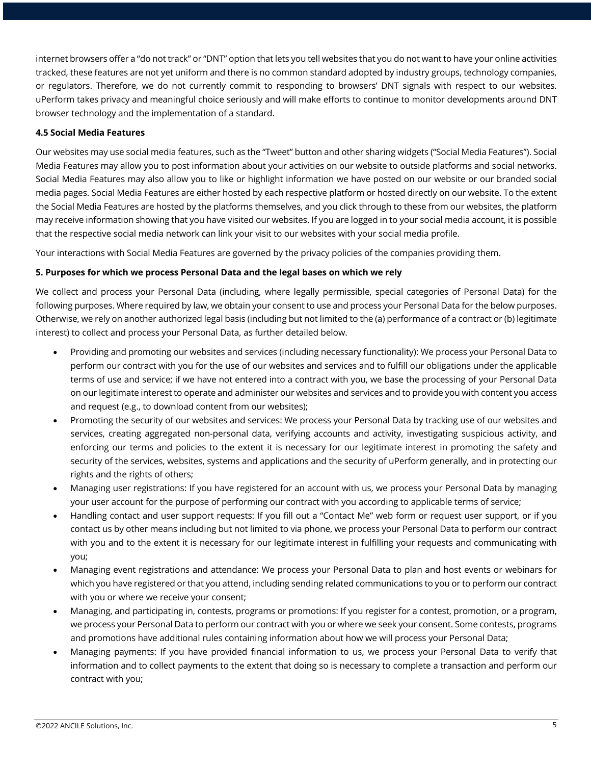internet browsers offer a "do not track" or "DNT" option that lets you tell websites that you do not want to have your online activities tracked, these features are not yet uniform and there is no common standard adopted by industry groups, technology companies, or regulators. Therefore, we do not currently commit to responding to browsers' DNT signals with respect to our websites. uPerform takes privacy and meaningful choice seriously and will make efforts to continue to monitor developments around DNT browser technology and the implementation of a standard.

# **4.5 Social Media Features**

Our websites may use social media features, such as the "Tweet" button and other sharing widgets ("Social Media Features"). Social Media Features may allow you to post information about your activities on our website to outside platforms and social networks. Social Media Features may also allow you to like or highlight information we have posted on our website or our branded social media pages. Social Media Features are either hosted by each respective platform or hosted directly on our website. To the extent the Social Media Features are hosted by the platforms themselves, and you click through to these from our websites, the platform may receive information showing that you have visited our websites. If you are logged in to your social media account, it is possible that the respective social media network can link your visit to our websites with your social media profile.

Your interactions with Social Media Features are governed by the privacy policies of the companies providing them.

#### **5. Purposes for which we process Personal Data and the legal bases on which we rely**

We collect and process your Personal Data (including, where legally permissible, special categories of Personal Data) for the following purposes. Where required by law, we obtain your consent to use and process your Personal Data for the below purposes. Otherwise, we rely on another authorized legal basis (including but not limited to the (a) performance of a contract or (b) legitimate interest) to collect and process your Personal Data, as further detailed below.

- Providing and promoting our websites and services (including necessary functionality): We process your Personal Data to perform our contract with you for the use of our websites and services and to fulfill our obligations under the applicable terms of use and service; if we have not entered into a contract with you, we base the processing of your Personal Data on our legitimate interest to operate and administer our websites and services and to provide you with content you access and request (e.g., to download content from our websites):
- Promoting the security of our websites and services: We process your Personal Data by tracking use of our websites and services, creating aggregated non-personal data, verifying accounts and activity, investigating suspicious activity, and enforcing our terms and policies to the extent it is necessary for our legitimate interest in promoting the safety and security of the services, websites, systems and applications and the security of uPerform generally, and in protecting our rights and the rights of others;
- Managing user registrations: If you have registered for an account with us, we process your Personal Data by managing your user account for the purpose of performing our contract with you according to applicable terms of service;
- Handling contact and user support requests: If you fill out a "Contact Me" web form or request user support, or if you contact us by other means including but not limited to via phone, we process your Personal Data to perform our contract with you and to the extent it is necessary for our legitimate interest in fulfilling your requests and communicating with you;
- Managing event registrations and attendance: We process your Personal Data to plan and host events or webinars for which you have registered or that you attend, including sending related communications to you or to perform our contract with you or where we receive your consent;
- Managing, and participating in, contests, programs or promotions: If you register for a contest, promotion, or a program, we process your Personal Data to perform our contract with you or where we seek your consent. Some contests, programs and promotions have additional rules containing information about how we will process your Personal Data;
- Managing payments: If you have provided financial information to us, we process your Personal Data to verify that information and to collect payments to the extent that doing so is necessary to complete a transaction and perform our contract with you;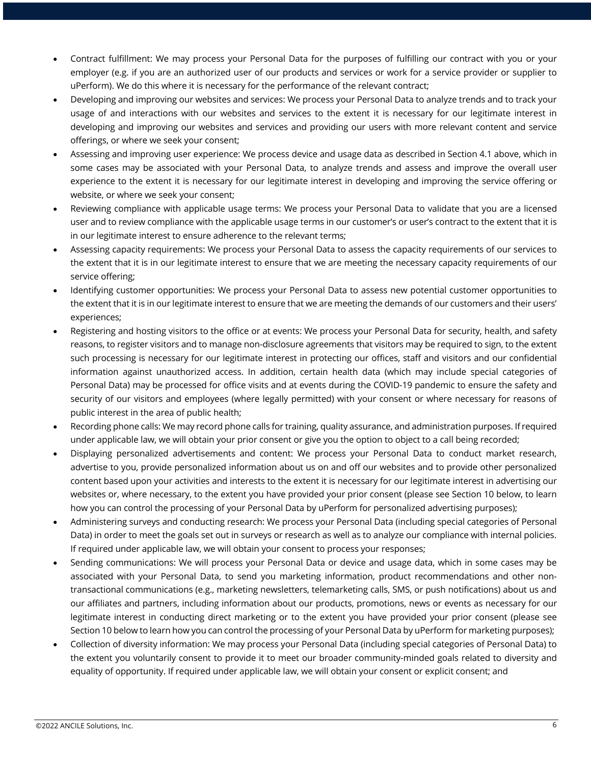- Contract fulfillment: We may process your Personal Data for the purposes of fulfilling our contract with you or your employer (e.g. if you are an authorized user of our products and services or work for a service provider or supplier to uPerform). We do this where it is necessary for the performance of the relevant contract;
- Developing and improving our websites and services: We process your Personal Data to analyze trends and to track your usage of and interactions with our websites and services to the extent it is necessary for our legitimate interest in developing and improving our websites and services and providing our users with more relevant content and service offerings, or where we seek your consent;
- Assessing and improving user experience: We process device and usage data as described in Section 4.1 above, which in some cases may be associated with your Personal Data, to analyze trends and assess and improve the overall user experience to the extent it is necessary for our legitimate interest in developing and improving the service offering or website, or where we seek your consent;
- Reviewing compliance with applicable usage terms: We process your Personal Data to validate that you are a licensed user and to review compliance with the applicable usage terms in our customer's or user's contract to the extent that it is in our legitimate interest to ensure adherence to the relevant terms;
- Assessing capacity requirements: We process your Personal Data to assess the capacity requirements of our services to the extent that it is in our legitimate interest to ensure that we are meeting the necessary capacity requirements of our service offering;
- Identifying customer opportunities: We process your Personal Data to assess new potential customer opportunities to the extent that it is in our legitimate interest to ensure that we are meeting the demands of our customers and their users' experiences;
- Registering and hosting visitors to the office or at events: We process your Personal Data for security, health, and safety reasons, to register visitors and to manage non-disclosure agreements that visitors may be required to sign, to the extent such processing is necessary for our legitimate interest in protecting our offices, staff and visitors and our confidential information against unauthorized access. In addition, certain health data (which may include special categories of Personal Data) may be processed for office visits and at events during the COVID-19 pandemic to ensure the safety and security of our visitors and employees (where legally permitted) with your consent or where necessary for reasons of public interest in the area of public health;
- Recording phone calls: We may record phone calls for training, quality assurance, and administration purposes. If required under applicable law, we will obtain your prior consent or give you the option to object to a call being recorded;
- Displaying personalized advertisements and content: We process your Personal Data to conduct market research, advertise to you, provide personalized information about us on and off our websites and to provide other personalized content based upon your activities and interests to the extent it is necessary for our legitimate interest in advertising our websites or, where necessary, to the extent you have provided your prior consent (please see Section 10 below, to learn how you can control the processing of your Personal Data by uPerform for personalized advertising purposes);
- Administering surveys and conducting research: We process your Personal Data (including special categories of Personal Data) in order to meet the goals set out in surveys or research as well as to analyze our compliance with internal policies. If required under applicable law, we will obtain your consent to process your responses;
- Sending communications: We will process your Personal Data or device and usage data, which in some cases may be associated with your Personal Data, to send you marketing information, product recommendations and other nontransactional communications (e.g., marketing newsletters, telemarketing calls, SMS, or push notifications) about us and our affiliates and partners, including information about our products, promotions, news or events as necessary for our legitimate interest in conducting direct marketing or to the extent you have provided your prior consent (please see Section 10 below to learn how you can control the processing of your Personal Data by uPerform for marketing purposes);
- Collection of diversity information: We may process your Personal Data (including special categories of Personal Data) to the extent you voluntarily consent to provide it to meet our broader community-minded goals related to diversity and equality of opportunity. If required under applicable law, we will obtain your consent or explicit consent; and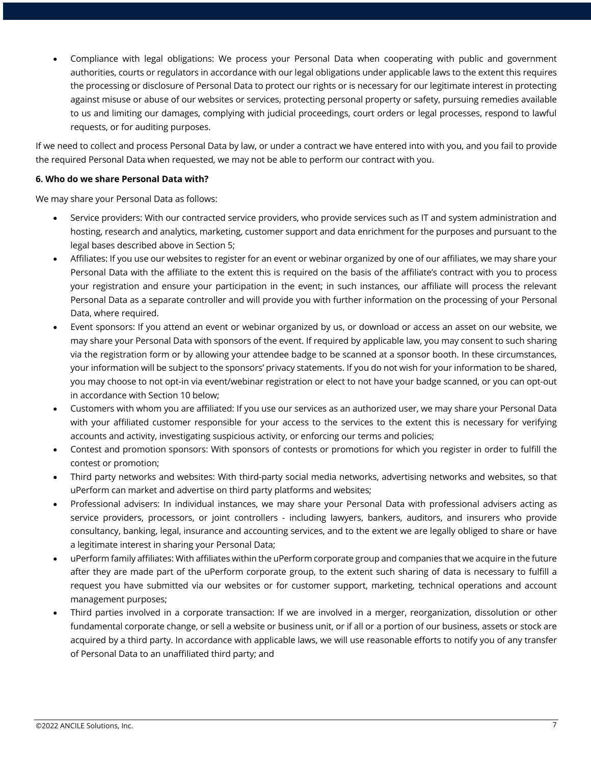• Compliance with legal obligations: We process your Personal Data when cooperating with public and government authorities, courts or regulators in accordance with our legal obligations under applicable laws to the extent this requires the processing or disclosure of Personal Data to protect our rights or is necessary for our legitimate interest in protecting against misuse or abuse of our websites or services, protecting personal property or safety, pursuing remedies available to us and limiting our damages, complying with judicial proceedings, court orders or legal processes, respond to lawful requests, or for auditing purposes.

If we need to collect and process Personal Data by law, or under a contract we have entered into with you, and you fail to provide the required Personal Data when requested, we may not be able to perform our contract with you.

#### **6. Who do we share Personal Data with?**

We may share your Personal Data as follows:

- Service providers: With our contracted service providers, who provide services such as IT and system administration and hosting, research and analytics, marketing, customer support and data enrichment for the purposes and pursuant to the legal bases described above in Section 5;
- Affiliates: If you use our websites to register for an event or webinar organized by one of our affiliates, we may share your Personal Data with the affiliate to the extent this is required on the basis of the affiliate's contract with you to process your registration and ensure your participation in the event; in such instances, our affiliate will process the relevant Personal Data as a separate controller and will provide you with further information on the processing of your Personal Data, where required.
- Event sponsors: If you attend an event or webinar organized by us, or download or access an asset on our website, we may share your Personal Data with sponsors of the event. If required by applicable law, you may consent to such sharing via the registration form or by allowing your attendee badge to be scanned at a sponsor booth. In these circumstances, your information will be subject to the sponsors' privacy statements. If you do not wish for your information to be shared, you may choose to not opt-in via event/webinar registration or elect to not have your badge scanned, or you can opt-out in accordance with Section 10 below;
- Customers with whom you are affiliated: If you use our services as an authorized user, we may share your Personal Data with your affiliated customer responsible for your access to the services to the extent this is necessary for verifying accounts and activity, investigating suspicious activity, or enforcing our terms and policies;
- Contest and promotion sponsors: With sponsors of contests or promotions for which you register in order to fulfill the contest or promotion;
- Third party networks and websites: With third-party social media networks, advertising networks and websites, so that uPerform can market and advertise on third party platforms and websites;
- Professional advisers: In individual instances, we may share your Personal Data with professional advisers acting as service providers, processors, or joint controllers - including lawyers, bankers, auditors, and insurers who provide consultancy, banking, legal, insurance and accounting services, and to the extent we are legally obliged to share or have a legitimate interest in sharing your Personal Data;
- uPerform family affiliates: With affiliates within the uPerform corporate group and companies that we acquire in the future after they are made part of the uPerform corporate group, to the extent such sharing of data is necessary to fulfill a request you have submitted via our websites or for customer support, marketing, technical operations and account management purposes;
- Third parties involved in a corporate transaction: If we are involved in a merger, reorganization, dissolution or other fundamental corporate change, or sell a website or business unit, or if all or a portion of our business, assets or stock are acquired by a third party. In accordance with applicable laws, we will use reasonable efforts to notify you of any transfer of Personal Data to an unaffiliated third party; and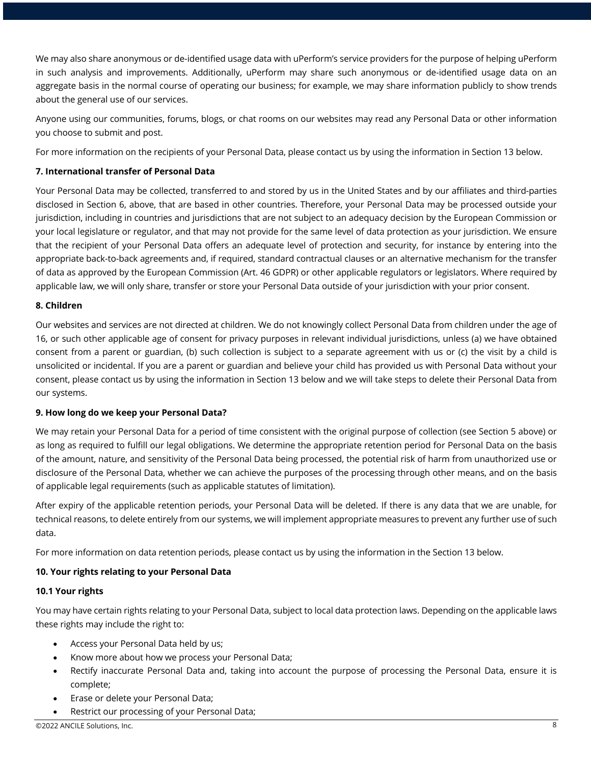We may also share anonymous or de-identified usage data with uPerform's service providers for the purpose of helping uPerform in such analysis and improvements. Additionally, uPerform may share such anonymous or de-identified usage data on an aggregate basis in the normal course of operating our business; for example, we may share information publicly to show trends about the general use of our services.

Anyone using our communities, forums, blogs, or chat rooms on our websites may read any Personal Data or other information you choose to submit and post.

For more information on the recipients of your Personal Data, please contact us by using the information in Section 13 below.

#### **7. International transfer of Personal Data**

Your Personal Data may be collected, transferred to and stored by us in the United States and by our affiliates and third-parties disclosed in Section 6, above, that are based in other countries. Therefore, your Personal Data may be processed outside your jurisdiction, including in countries and jurisdictions that are not subject to an adequacy decision by the European Commission or your local legislature or regulator, and that may not provide for the same level of data protection as your jurisdiction. We ensure that the recipient of your Personal Data offers an adequate level of protection and security, for instance by entering into the appropriate back-to-back agreements and, if required, standard contractual clauses or an alternative mechanism for the transfer of data as approved by the European Commission (Art. 46 GDPR) or other applicable regulators or legislators. Where required by applicable law, we will only share, transfer or store your Personal Data outside of your jurisdiction with your prior consent.

#### **8. Children**

Our websites and services are not directed at children. We do not knowingly collect Personal Data from children under the age of 16, or such other applicable age of consent for privacy purposes in relevant individual jurisdictions, unless (a) we have obtained consent from a parent or guardian, (b) such collection is subject to a separate agreement with us or (c) the visit by a child is unsolicited or incidental. If you are a parent or guardian and believe your child has provided us with Personal Data without your consent, please contact us by using the information in Section 13 below and we will take steps to delete their Personal Data from our systems.

#### **9. How long do we keep your Personal Data?**

We may retain your Personal Data for a period of time consistent with the original purpose of collection (see Section 5 above) or as long as required to fulfill our legal obligations. We determine the appropriate retention period for Personal Data on the basis of the amount, nature, and sensitivity of the Personal Data being processed, the potential risk of harm from unauthorized use or disclosure of the Personal Data, whether we can achieve the purposes of the processing through other means, and on the basis of applicable legal requirements (such as applicable statutes of limitation).

After expiry of the applicable retention periods, your Personal Data will be deleted. If there is any data that we are unable, for technical reasons, to delete entirely from our systems, we will implement appropriate measures to prevent any further use of such data.

For more information on data retention periods, please contact us by using the information in the Section 13 below.

# **10. Your rights relating to your Personal Data**

#### **10.1 Your rights**

You may have certain rights relating to your Personal Data, subject to local data protection laws. Depending on the applicable laws these rights may include the right to:

- Access your Personal Data held by us;
- Know more about how we process your Personal Data;
- Rectify inaccurate Personal Data and, taking into account the purpose of processing the Personal Data, ensure it is complete;
- Erase or delete your Personal Data;
- Restrict our processing of your Personal Data;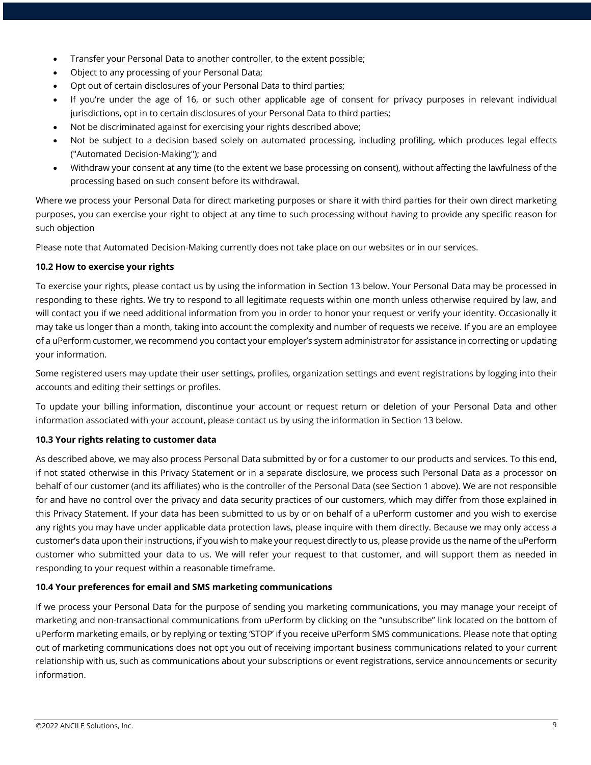- Transfer your Personal Data to another controller, to the extent possible;
- Object to any processing of your Personal Data;
- Opt out of certain disclosures of your Personal Data to third parties;
- If you're under the age of 16, or such other applicable age of consent for privacy purposes in relevant individual jurisdictions, opt in to certain disclosures of your Personal Data to third parties;
- Not be discriminated against for exercising your rights described above;
- Not be subject to a decision based solely on automated processing, including profiling, which produces legal effects ("Automated Decision-Making"); and
- Withdraw your consent at any time (to the extent we base processing on consent), without affecting the lawfulness of the processing based on such consent before its withdrawal.

Where we process your Personal Data for direct marketing purposes or share it with third parties for their own direct marketing purposes, you can exercise your right to object at any time to such processing without having to provide any specific reason for such objection

Please note that Automated Decision-Making currently does not take place on our websites or in our services.

# **10.2 How to exercise your rights**

To exercise your rights, please contact us by using the information in Section 13 below. Your Personal Data may be processed in responding to these rights. We try to respond to all legitimate requests within one month unless otherwise required by law, and will contact you if we need additional information from you in order to honor your request or verify your identity. Occasionally it may take us longer than a month, taking into account the complexity and number of requests we receive. If you are an employee of a uPerform customer, we recommend you contact your employer's system administrator for assistance in correcting or updating your information.

Some registered users may update their user settings, profiles, organization settings and event registrations by logging into their accounts and editing their settings or profiles.

To update your billing information, discontinue your account or request return or deletion of your Personal Data and other information associated with your account, please contact us by using the information in Section 13 below.

# **10.3 Your rights relating to customer data**

As described above, we may also process Personal Data submitted by or for a customer to our products and services. To this end, if not stated otherwise in this Privacy Statement or in a separate disclosure, we process such Personal Data as a processor on behalf of our customer (and its affiliates) who is the controller of the Personal Data (see Section 1 above). We are not responsible for and have no control over the privacy and data security practices of our customers, which may differ from those explained in this Privacy Statement. If your data has been submitted to us by or on behalf of a uPerform customer and you wish to exercise any rights you may have under applicable data protection laws, please inquire with them directly. Because we may only access a customer's data upon their instructions, if you wish to make your request directly to us, please provide us the name of the uPerform customer who submitted your data to us. We will refer your request to that customer, and will support them as needed in responding to your request within a reasonable timeframe.

# **10.4 Your preferences for email and SMS marketing communications**

If we process your Personal Data for the purpose of sending you marketing communications, you may manage your receipt of marketing and non-transactional communications from uPerform by clicking on the "unsubscribe" link located on the bottom of uPerform marketing emails, or by replying or texting 'STOP' if you receive uPerform SMS communications. Please note that opting out of marketing communications does not opt you out of receiving important business communications related to your current relationship with us, such as communications about your subscriptions or event registrations, service announcements or security information.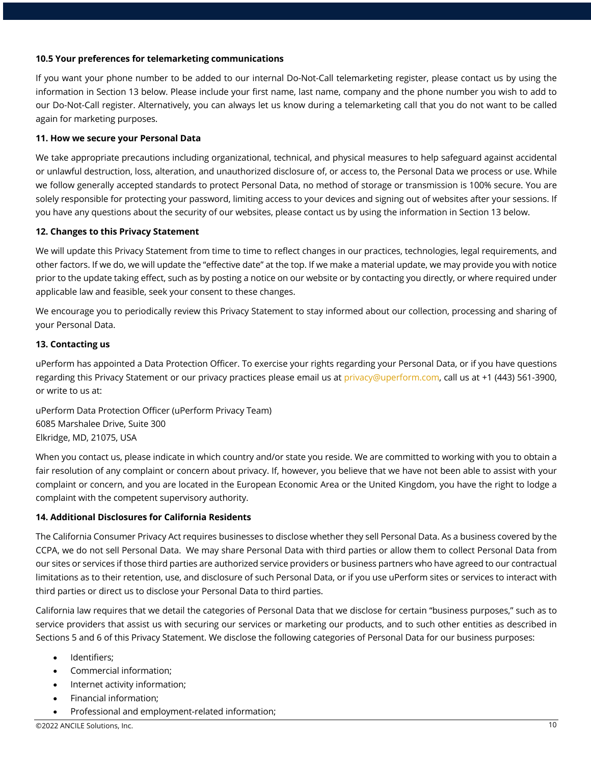#### **10.5 Your preferences for telemarketing communications**

If you want your phone number to be added to our internal Do-Not-Call telemarketing register, please contact us by using the information in Section 13 below. Please include your first name, last name, company and the phone number you wish to add to our Do-Not-Call register. Alternatively, you can always let us know during a telemarketing call that you do not want to be called again for marketing purposes.

#### **11. How we secure your Personal Data**

We take appropriate precautions including organizational, technical, and physical measures to help safeguard against accidental or unlawful destruction, loss, alteration, and unauthorized disclosure of, or access to, the Personal Data we process or use. While we follow generally accepted standards to protect Personal Data, no method of storage or transmission is 100% secure. You are solely responsible for protecting your password, limiting access to your devices and signing out of websites after your sessions. If you have any questions about the security of our websites, please contact us by using the information in Section 13 below.

#### **12. Changes to this Privacy Statement**

We will update this Privacy Statement from time to time to reflect changes in our practices, technologies, legal requirements, and other factors. If we do, we will update the "effective date" at the top. If we make a material update, we may provide you with notice prior to the update taking effect, such as by posting a notice on our website or by contacting you directly, or where required under applicable law and feasible, seek your consent to these changes.

We encourage you to periodically review this Privacy Statement to stay informed about our collection, processing and sharing of your Personal Data.

#### **13. Contacting us**

uPerform has appointed a Data Protection Officer. To exercise your rights regarding your Personal Data, or if you have questions regarding this Privacy Statement or our privacy practices please email us at privacy@uperform.com, call us at +1 (443) 561-3900, or write to us at:

uPerform Data Protection Officer (uPerform Privacy Team) 6085 Marshalee Drive, Suite 300 Elkridge, MD, 21075, USA

When you contact us, please indicate in which country and/or state you reside. We are committed to working with you to obtain a fair resolution of any complaint or concern about privacy. If, however, you believe that we have not been able to assist with your complaint or concern, and you are located in the European Economic Area or the United Kingdom, you have the right to lodge a complaint with the competent supervisory authority.

#### **14. Additional Disclosures for California Residents**

The California Consumer Privacy Act requires businesses to disclose whether they sell Personal Data. As a business covered by the CCPA, we do not sell Personal Data. We may share Personal Data with third parties or allow them to collect Personal Data from our sites or services if those third parties are authorized service providers or business partners who have agreed to our contractual limitations as to their retention, use, and disclosure of such Personal Data, or if you use uPerform sites or services to interact with third parties or direct us to disclose your Personal Data to third parties.

California law requires that we detail the categories of Personal Data that we disclose for certain "business purposes," such as to service providers that assist us with securing our services or marketing our products, and to such other entities as described in Sections 5 and 6 of this Privacy Statement. We disclose the following categories of Personal Data for our business purposes:

- Identifiers;
- Commercial information;
- Internet activity information;
- Financial information;
- Professional and employment-related information;